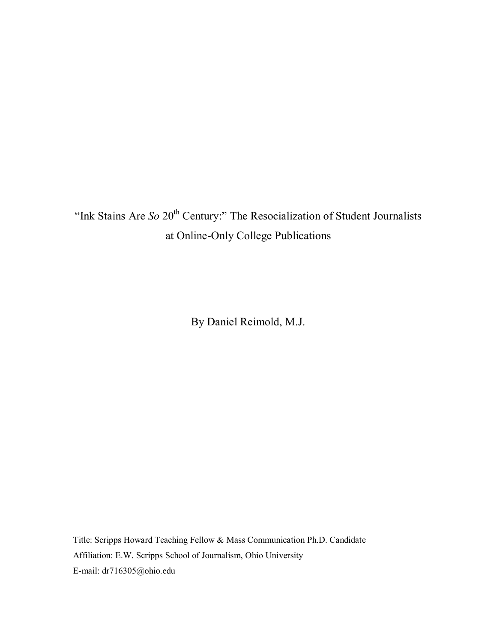"Ink Stains Are *So* 20<sup>th</sup> Century:" The Resocialization of Student Journalists at Online-Only College Publications

By Daniel Reimold, M.J.

Title: Scripps Howard Teaching Fellow & Mass Communication Ph.D. Candidate Affiliation: E.W. Scripps School of Journalism, Ohio University E-mail: dr716305@ohio.edu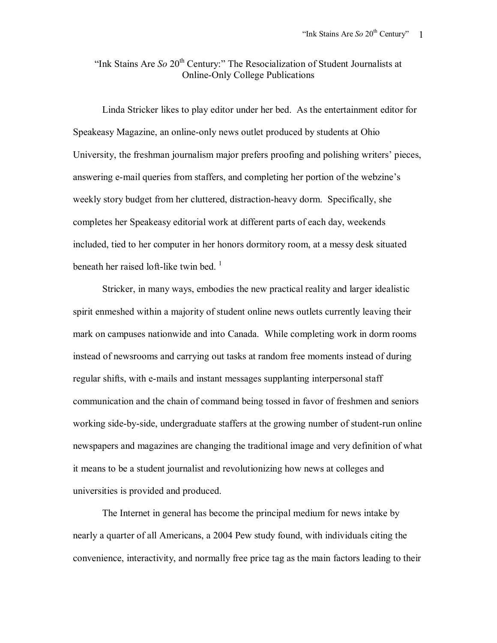"Ink Stains Are *So* 20<sup>th</sup> Century:" The Resocialization of Student Journalists at Online-Only College Publications

Linda Stricker likes to play editor under her bed. As the entertainment editor for Speakeasy Magazine, an online-only news outlet produced by students at Ohio University, the freshman journalism major prefers proofing and polishing writers' pieces, answering e-mail queries from staffers, and completing her portion of the webzine's weekly story budget from her cluttered, distraction-heavy dorm. Specifically, she completes her Speakeasy editorial work at different parts of each day, weekends included, tied to her computer in her honors dormitory room, at a messy desk situated beneath her raised loft-like twin bed.<sup>1</sup>

 Stricker, in many ways, embodies the new practical reality and larger idealistic spirit enmeshed within a majority of student online news outlets currently leaving their mark on campuses nationwide and into Canada. While completing work in dorm rooms instead of newsrooms and carrying out tasks at random free moments instead of during regular shifts, with e-mails and instant messages supplanting interpersonal staff communication and the chain of command being tossed in favor of freshmen and seniors working side-by-side, undergraduate staffers at the growing number of student-run online newspapers and magazines are changing the traditional image and very definition of what it means to be a student journalist and revolutionizing how news at colleges and universities is provided and produced.

 The Internet in general has become the principal medium for news intake by nearly a quarter of all Americans, a 2004 Pew study found, with individuals citing the convenience, interactivity, and normally free price tag as the main factors leading to their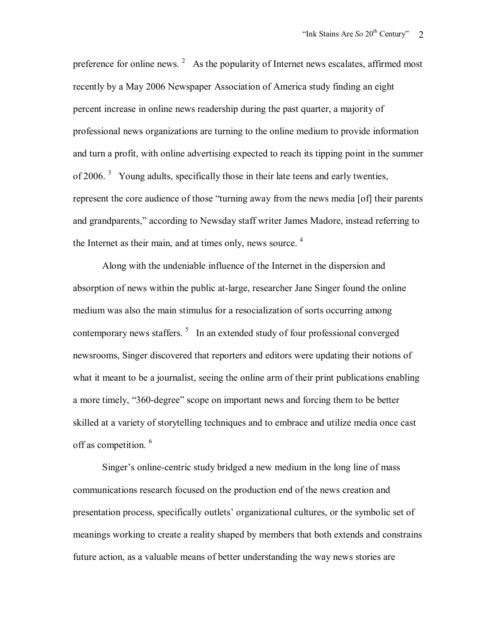preference for online news.  $2$  As the popularity of Internet news escalates, affirmed most recently by a May 2006 Newspaper Association of America study finding an eight percent increase in online news readership during the past quarter, a majority of professional news organizations are turning to the online medium to provide information and turn a profit, with online advertising expected to reach its tipping point in the summer of 2006.<sup>3</sup> Young adults, specifically those in their late teens and early twenties, represent the core audience of those "turning away from the news media [of] their parents and grandparents," according to Newsday staff writer James Madore, instead referring to the Internet as their main, and at times only, news source.  $4$ 

 Along with the undeniable influence of the Internet in the dispersion and absorption of news within the public at-large, researcher Jane Singer found the online medium was also the main stimulus for a resocialization of sorts occurring among contemporary news staffers.  $5\;\;$  In an extended study of four professional converged newsrooms, Singer discovered that reporters and editors were updating their notions of what it meant to be a journalist, seeing the online arm of their print publications enabling a more timely, "360-degree" scope on important news and forcing them to be better skilled at a variety of storytelling techniques and to embrace and utilize media once cast off as competition. <sup>6</sup>

 Singer's online-centric study bridged a new medium in the long line of mass communications research focused on the production end of the news creation and presentation process, specifically outlets' organizational cultures, or the symbolic set of meanings working to create a reality shaped by members that both extends and constrains future action, as a valuable means of better understanding the way news stories are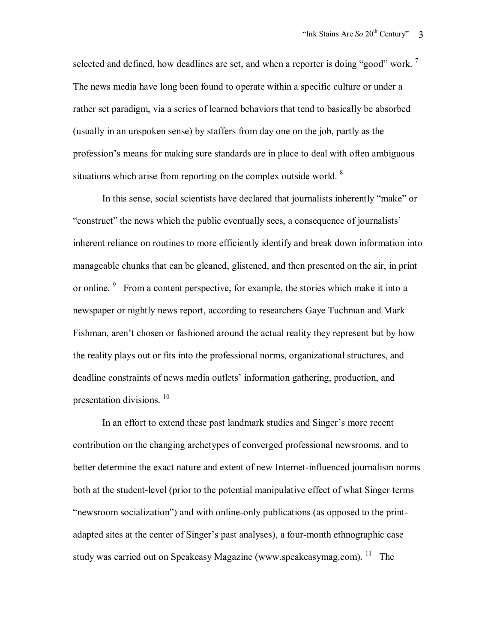selected and defined, how deadlines are set, and when a reporter is doing "good" work.<sup>7</sup> The news media have long been found to operate within a specific culture or under a rather set paradigm, via a series of learned behaviors that tend to basically be absorbed (usually in an unspoken sense) by staffers from day one on the job, partly as the profession's means for making sure standards are in place to deal with often ambiguous situations which arise from reporting on the complex outside world.  $8$ 

 In this sense, social scientists have declared that journalists inherently "make" or "construct" the news which the public eventually sees, a consequence of journalists' inherent reliance on routines to more efficiently identify and break down information into manageable chunks that can be gleaned, glistened, and then presented on the air, in print or online. <sup>9</sup> From a content perspective, for example, the stories which make it into a newspaper or nightly news report, according to researchers Gaye Tuchman and Mark Fishman, aren't chosen or fashioned around the actual reality they represent but by how the reality plays out or fits into the professional norms, organizational structures, and deadline constraints of news media outlets' information gathering, production, and presentation divisions.  $10$ 

 In an effort to extend these past landmark studies and Singer's more recent contribution on the changing archetypes of converged professional newsrooms, and to better determine the exact nature and extent of new Internet-influenced journalism norms both at the student-level (prior to the potential manipulative effect of what Singer terms "newsroom socialization") and with online-only publications (as opposed to the printadapted sites at the center of Singer's past analyses), a four-month ethnographic case study was carried out on Speakeasy Magazine (www.speakeasymag.com).  $11$  The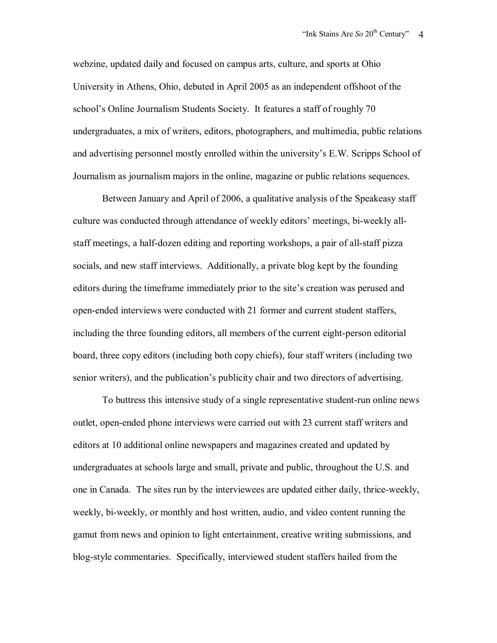webzine, updated daily and focused on campus arts, culture, and sports at Ohio University in Athens, Ohio, debuted in April 2005 as an independent offshoot of the school's Online Journalism Students Society. It features a staff of roughly 70 undergraduates, a mix of writers, editors, photographers, and multimedia, public relations and advertising personnel mostly enrolled within the university's E.W. Scripps School of Journalism as journalism majors in the online, magazine or public relations sequences.

 Between January and April of 2006, a qualitative analysis of the Speakeasy staff culture was conducted through attendance of weekly editors' meetings, bi-weekly allstaff meetings, a half-dozen editing and reporting workshops, a pair of all-staff pizza socials, and new staff interviews. Additionally, a private blog kept by the founding editors during the timeframe immediately prior to the site's creation was perused and open-ended interviews were conducted with 21 former and current student staffers, including the three founding editors, all members of the current eight-person editorial board, three copy editors (including both copy chiefs), four staff writers (including two senior writers), and the publication's publicity chair and two directors of advertising.

 To buttress this intensive study of a single representative student-run online news outlet, open-ended phone interviews were carried out with 23 current staff writers and editors at 10 additional online newspapers and magazines created and updated by undergraduates at schools large and small, private and public, throughout the U.S. and one in Canada. The sites run by the interviewees are updated either daily, thrice-weekly, weekly, bi-weekly, or monthly and host written, audio, and video content running the gamut from news and opinion to light entertainment, creative writing submissions, and blog-style commentaries. Specifically, interviewed student staffers hailed from the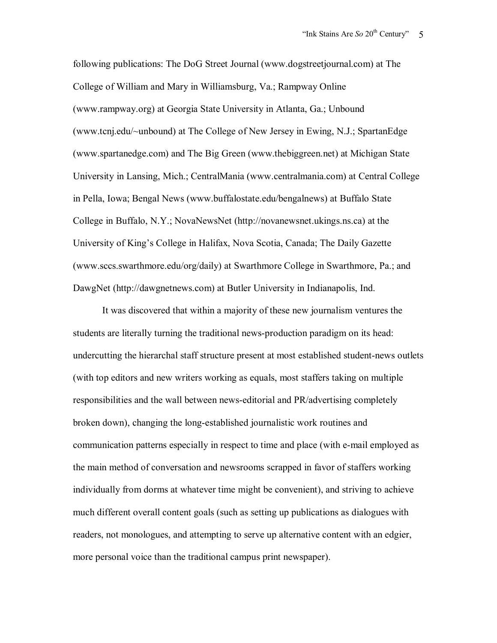following publications: The DoG Street Journal (www.dogstreetjournal.com) at The College of William and Mary in Williamsburg, Va.; Rampway Online (www.rampway.org) at Georgia State University in Atlanta, Ga.; Unbound (www.tcnj.edu/~unbound) at The College of New Jersey in Ewing, N.J.; SpartanEdge (www.spartanedge.com) and The Big Green (www.thebiggreen.net) at Michigan State University in Lansing, Mich.; CentralMania (www.centralmania.com) at Central College in Pella, Iowa; Bengal News (www.buffalostate.edu/bengalnews) at Buffalo State College in Buffalo, N.Y.; NovaNewsNet (http://novanewsnet.ukings.ns.ca) at the University of King's College in Halifax, Nova Scotia, Canada; The Daily Gazette (www.sccs.swarthmore.edu/org/daily) at Swarthmore College in Swarthmore, Pa.; and DawgNet (http://dawgnetnews.com) at Butler University in Indianapolis, Ind.

 It was discovered that within a majority of these new journalism ventures the students are literally turning the traditional news-production paradigm on its head: undercutting the hierarchal staff structure present at most established student-news outlets (with top editors and new writers working as equals, most staffers taking on multiple responsibilities and the wall between news-editorial and PR/advertising completely broken down), changing the long-established journalistic work routines and communication patterns especially in respect to time and place (with e-mail employed as the main method of conversation and newsrooms scrapped in favor of staffers working individually from dorms at whatever time might be convenient), and striving to achieve much different overall content goals (such as setting up publications as dialogues with readers, not monologues, and attempting to serve up alternative content with an edgier, more personal voice than the traditional campus print newspaper).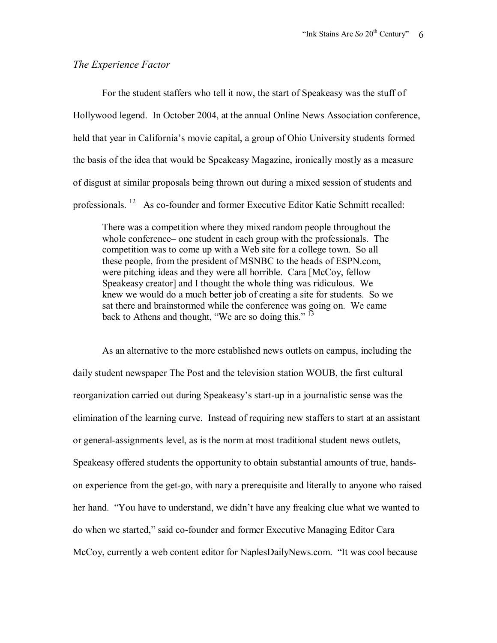### *The Experience Factor*

 For the student staffers who tell it now, the start of Speakeasy was the stuff of Hollywood legend. In October 2004, at the annual Online News Association conference, held that year in California's movie capital, a group of Ohio University students formed the basis of the idea that would be Speakeasy Magazine, ironically mostly as a measure of disgust at similar proposals being thrown out during a mixed session of students and professionals. 12 As co-founder and former Executive Editor Katie Schmitt recalled:

There was a competition where they mixed random people throughout the whole conference– one student in each group with the professionals. The competition was to come up with a Web site for a college town. So all these people, from the president of MSNBC to the heads of ESPN.com, were pitching ideas and they were all horrible. Cara [McCoy, fellow Speakeasy creator] and I thought the whole thing was ridiculous. We knew we would do a much better job of creating a site for students. So we sat there and brainstormed while the conference was going on. We came back to Athens and thought, "We are so doing this." <sup>13</sup>

 As an alternative to the more established news outlets on campus, including the daily student newspaper The Post and the television station WOUB, the first cultural reorganization carried out during Speakeasy's start-up in a journalistic sense was the elimination of the learning curve. Instead of requiring new staffers to start at an assistant or general-assignments level, as is the norm at most traditional student news outlets, Speakeasy offered students the opportunity to obtain substantial amounts of true, handson experience from the get-go, with nary a prerequisite and literally to anyone who raised her hand. "You have to understand, we didn't have any freaking clue what we wanted to do when we started," said co-founder and former Executive Managing Editor Cara McCoy, currently a web content editor for NaplesDailyNews.com. "It was cool because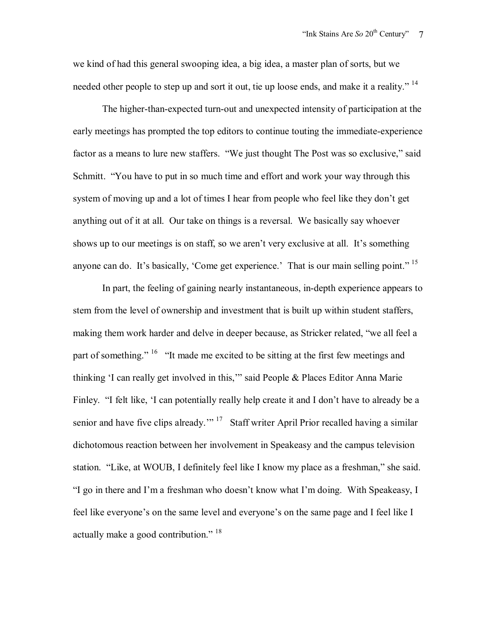we kind of had this general swooping idea, a big idea, a master plan of sorts, but we needed other people to step up and sort it out, tie up loose ends, and make it a reality."<sup>14</sup>

 The higher-than-expected turn-out and unexpected intensity of participation at the early meetings has prompted the top editors to continue touting the immediate-experience factor as a means to lure new staffers. "We just thought The Post was so exclusive," said Schmitt. "You have to put in so much time and effort and work your way through this system of moving up and a lot of times I hear from people who feel like they don't get anything out of it at all. Our take on things is a reversal. We basically say whoever shows up to our meetings is on staff, so we aren't very exclusive at all. It's something anyone can do. It's basically, 'Come get experience.' That is our main selling point."<sup>15</sup>

 In part, the feeling of gaining nearly instantaneous, in-depth experience appears to stem from the level of ownership and investment that is built up within student staffers, making them work harder and delve in deeper because, as Stricker related, "we all feel a part of something." <sup>16</sup> "It made me excited to be sitting at the first few meetings and thinking 'I can really get involved in this,'" said People & Places Editor Anna Marie Finley. "I felt like, 'I can potentially really help create it and I don't have to already be a senior and have five clips already."<sup>17</sup> Staff writer April Prior recalled having a similar dichotomous reaction between her involvement in Speakeasy and the campus television station. "Like, at WOUB, I definitely feel like I know my place as a freshman," she said. "I go in there and I'm a freshman who doesn't know what I'm doing. With Speakeasy, I feel like everyone's on the same level and everyone's on the same page and I feel like I actually make a good contribution." <sup>18</sup>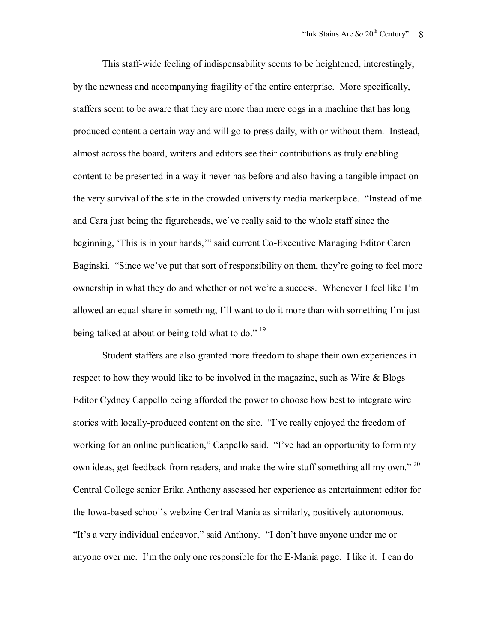This staff-wide feeling of indispensability seems to be heightened, interestingly, by the newness and accompanying fragility of the entire enterprise. More specifically, staffers seem to be aware that they are more than mere cogs in a machine that has long produced content a certain way and will go to press daily, with or without them. Instead, almost across the board, writers and editors see their contributions as truly enabling content to be presented in a way it never has before and also having a tangible impact on the very survival of the site in the crowded university media marketplace. "Instead of me and Cara just being the figureheads, we've really said to the whole staff since the beginning, 'This is in your hands,'" said current Co-Executive Managing Editor Caren Baginski. "Since we've put that sort of responsibility on them, they're going to feel more ownership in what they do and whether or not we're a success. Whenever I feel like I'm allowed an equal share in something, I'll want to do it more than with something I'm just being talked at about or being told what to do."  $19$ 

 Student staffers are also granted more freedom to shape their own experiences in respect to how they would like to be involved in the magazine, such as Wire & Blogs Editor Cydney Cappello being afforded the power to choose how best to integrate wire stories with locally-produced content on the site. "I've really enjoyed the freedom of working for an online publication," Cappello said. "I've had an opportunity to form my own ideas, get feedback from readers, and make the wire stuff something all my own."<sup>20</sup> Central College senior Erika Anthony assessed her experience as entertainment editor for the Iowa-based school's webzine Central Mania as similarly, positively autonomous. "It's a very individual endeavor," said Anthony. "I don't have anyone under me or anyone over me. I'm the only one responsible for the E-Mania page. I like it. I can do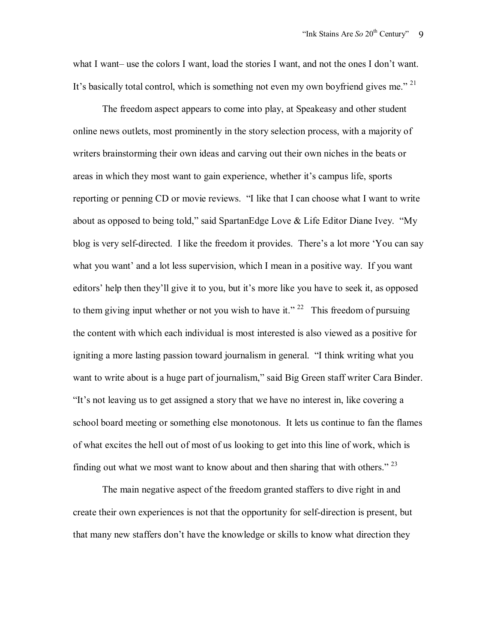what I want– use the colors I want, load the stories I want, and not the ones I don't want. It's basically total control, which is something not even my own boyfriend gives me."<sup>21</sup>

 The freedom aspect appears to come into play, at Speakeasy and other student online news outlets, most prominently in the story selection process, with a majority of writers brainstorming their own ideas and carving out their own niches in the beats or areas in which they most want to gain experience, whether it's campus life, sports reporting or penning CD or movie reviews. "I like that I can choose what I want to write about as opposed to being told," said SpartanEdge Love & Life Editor Diane Ivey. "My blog is very self-directed. I like the freedom it provides. There's a lot more 'You can say what you want' and a lot less supervision, which I mean in a positive way. If you want editors' help then they'll give it to you, but it's more like you have to seek it, as opposed to them giving input whether or not you wish to have it." <sup>22</sup> This freedom of pursuing the content with which each individual is most interested is also viewed as a positive for igniting a more lasting passion toward journalism in general. "I think writing what you want to write about is a huge part of journalism," said Big Green staff writer Cara Binder. "It's not leaving us to get assigned a story that we have no interest in, like covering a school board meeting or something else monotonous. It lets us continue to fan the flames of what excites the hell out of most of us looking to get into this line of work, which is finding out what we most want to know about and then sharing that with others."  $2<sup>3</sup>$ 

 The main negative aspect of the freedom granted staffers to dive right in and create their own experiences is not that the opportunity for self-direction is present, but that many new staffers don't have the knowledge or skills to know what direction they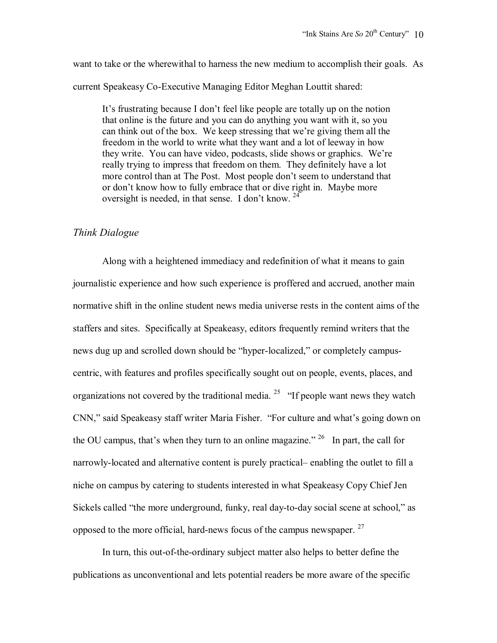want to take or the wherewithal to harness the new medium to accomplish their goals. As current Speakeasy Co-Executive Managing Editor Meghan Louttit shared:

It's frustrating because I don't feel like people are totally up on the notion that online is the future and you can do anything you want with it, so you can think out of the box. We keep stressing that we're giving them all the freedom in the world to write what they want and a lot of leeway in how they write. You can have video, podcasts, slide shows or graphics. We're really trying to impress that freedom on them. They definitely have a lot more control than at The Post. Most people don't seem to understand that or don't know how to fully embrace that or dive right in. Maybe more oversight is needed, in that sense. I don't know. <sup>24</sup>

## *Think Dialogue*

 Along with a heightened immediacy and redefinition of what it means to gain journalistic experience and how such experience is proffered and accrued, another main normative shift in the online student news media universe rests in the content aims of the staffers and sites. Specifically at Speakeasy, editors frequently remind writers that the news dug up and scrolled down should be "hyper-localized," or completely campuscentric, with features and profiles specifically sought out on people, events, places, and organizations not covered by the traditional media. <sup>25</sup> "If people want news they watch CNN," said Speakeasy staff writer Maria Fisher. "For culture and what's going down on the OU campus, that's when they turn to an online magazine." <sup>26</sup> In part, the call for narrowly-located and alternative content is purely practical– enabling the outlet to fill a niche on campus by catering to students interested in what Speakeasy Copy Chief Jen Sickels called "the more underground, funky, real day-to-day social scene at school," as opposed to the more official, hard-news focus of the campus newspaper. <sup>27</sup>

 In turn, this out-of-the-ordinary subject matter also helps to better define the publications as unconventional and lets potential readers be more aware of the specific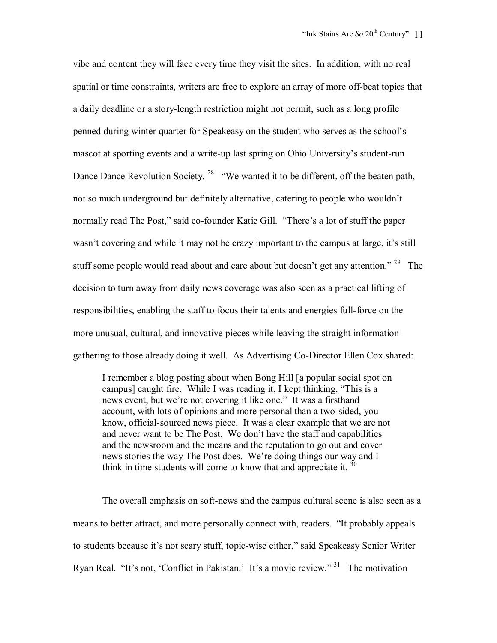vibe and content they will face every time they visit the sites. In addition, with no real spatial or time constraints, writers are free to explore an array of more off-beat topics that a daily deadline or a story-length restriction might not permit, such as a long profile penned during winter quarter for Speakeasy on the student who serves as the school's mascot at sporting events and a write-up last spring on Ohio University's student-run Dance Dance Revolution Society.<sup>28</sup> "We wanted it to be different, off the beaten path, not so much underground but definitely alternative, catering to people who wouldn't normally read The Post," said co-founder Katie Gill. "There's a lot of stuff the paper wasn't covering and while it may not be crazy important to the campus at large, it's still stuff some people would read about and care about but doesn't get any attention."<sup>29</sup> The decision to turn away from daily news coverage was also seen as a practical lifting of responsibilities, enabling the staff to focus their talents and energies full-force on the more unusual, cultural, and innovative pieces while leaving the straight informationgathering to those already doing it well. As Advertising Co-Director Ellen Cox shared:

I remember a blog posting about when Bong Hill [a popular social spot on campus] caught fire. While I was reading it, I kept thinking, "This is a news event, but we're not covering it like one." It was a firsthand account, with lots of opinions and more personal than a two-sided, you know, official-sourced news piece. It was a clear example that we are not and never want to be The Post. We don't have the staff and capabilities and the newsroom and the means and the reputation to go out and cover news stories the way The Post does. We're doing things our way and I think in time students will come to know that and appreciate it.  $30$ 

 The overall emphasis on soft-news and the campus cultural scene is also seen as a means to better attract, and more personally connect with, readers. "It probably appeals to students because it's not scary stuff, topic-wise either," said Speakeasy Senior Writer Ryan Real. "It's not, 'Conflict in Pakistan.' It's a movie review." 31 The motivation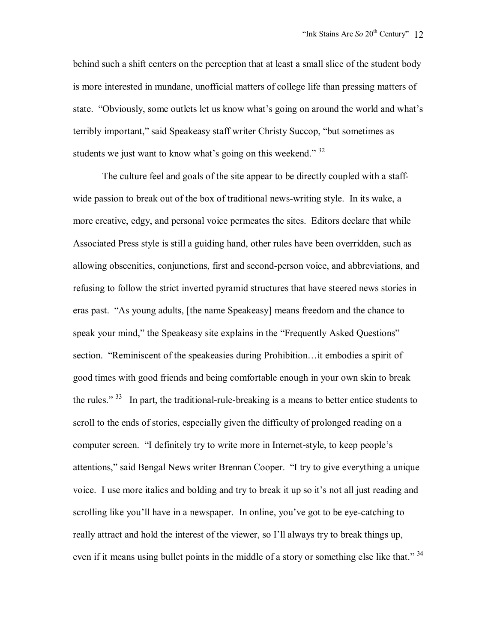behind such a shift centers on the perception that at least a small slice of the student body is more interested in mundane, unofficial matters of college life than pressing matters of state. "Obviously, some outlets let us know what's going on around the world and what's terribly important," said Speakeasy staff writer Christy Succop, "but sometimes as students we just want to know what's going on this weekend."  $32$ 

 The culture feel and goals of the site appear to be directly coupled with a staffwide passion to break out of the box of traditional news-writing style. In its wake, a more creative, edgy, and personal voice permeates the sites. Editors declare that while Associated Press style is still a guiding hand, other rules have been overridden, such as allowing obscenities, conjunctions, first and second-person voice, and abbreviations, and refusing to follow the strict inverted pyramid structures that have steered news stories in eras past. "As young adults, [the name Speakeasy] means freedom and the chance to speak your mind," the Speakeasy site explains in the "Frequently Asked Questions" section. "Reminiscent of the speakeasies during Prohibition…it embodies a spirit of good times with good friends and being comfortable enough in your own skin to break the rules."<sup>33</sup> In part, the traditional-rule-breaking is a means to better entice students to scroll to the ends of stories, especially given the difficulty of prolonged reading on a computer screen. "I definitely try to write more in Internet-style, to keep people's attentions," said Bengal News writer Brennan Cooper. "I try to give everything a unique voice. I use more italics and bolding and try to break it up so it's not all just reading and scrolling like you'll have in a newspaper. In online, you've got to be eye-catching to really attract and hold the interest of the viewer, so I'll always try to break things up, even if it means using bullet points in the middle of a story or something else like that."<sup>34</sup>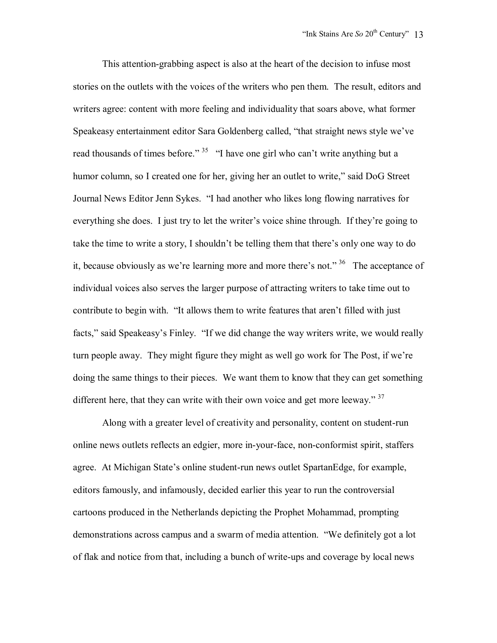This attention-grabbing aspect is also at the heart of the decision to infuse most stories on the outlets with the voices of the writers who pen them. The result, editors and writers agree: content with more feeling and individuality that soars above, what former Speakeasy entertainment editor Sara Goldenberg called, "that straight news style we've read thousands of times before." <sup>35</sup> "I have one girl who can't write anything but a humor column, so I created one for her, giving her an outlet to write," said DoG Street Journal News Editor Jenn Sykes. "I had another who likes long flowing narratives for everything she does. I just try to let the writer's voice shine through. If they're going to take the time to write a story, I shouldn't be telling them that there's only one way to do it, because obviously as we're learning more and more there's not." 36 The acceptance of individual voices also serves the larger purpose of attracting writers to take time out to contribute to begin with. "It allows them to write features that aren't filled with just facts," said Speakeasy's Finley. "If we did change the way writers write, we would really turn people away. They might figure they might as well go work for The Post, if we're doing the same things to their pieces. We want them to know that they can get something different here, that they can write with their own voice and get more leeway."  $37$ 

 Along with a greater level of creativity and personality, content on student-run online news outlets reflects an edgier, more in-your-face, non-conformist spirit, staffers agree. At Michigan State's online student-run news outlet SpartanEdge, for example, editors famously, and infamously, decided earlier this year to run the controversial cartoons produced in the Netherlands depicting the Prophet Mohammad, prompting demonstrations across campus and a swarm of media attention. "We definitely got a lot of flak and notice from that, including a bunch of write-ups and coverage by local news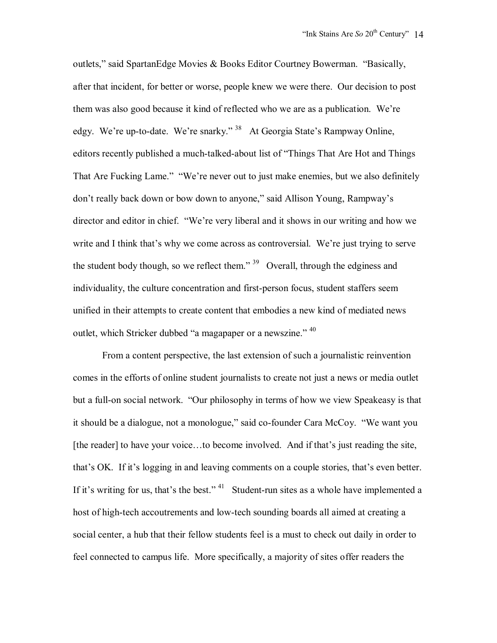outlets," said SpartanEdge Movies & Books Editor Courtney Bowerman. "Basically, after that incident, for better or worse, people knew we were there. Our decision to post them was also good because it kind of reflected who we are as a publication. We're edgy. We're up-to-date. We're snarky." 38 At Georgia State's Rampway Online, editors recently published a much-talked-about list of "Things That Are Hot and Things That Are Fucking Lame." "We're never out to just make enemies, but we also definitely don't really back down or bow down to anyone," said Allison Young, Rampway's director and editor in chief. "We're very liberal and it shows in our writing and how we write and I think that's why we come across as controversial. We're just trying to serve the student body though, so we reflect them." <sup>39</sup> Overall, through the edginess and individuality, the culture concentration and first-person focus, student staffers seem unified in their attempts to create content that embodies a new kind of mediated news outlet, which Stricker dubbed "a magapaper or a newszine." <sup>40</sup>

 From a content perspective, the last extension of such a journalistic reinvention comes in the efforts of online student journalists to create not just a news or media outlet but a full-on social network. "Our philosophy in terms of how we view Speakeasy is that it should be a dialogue, not a monologue," said co-founder Cara McCoy. "We want you [the reader] to have your voice...to become involved. And if that's just reading the site, that's OK. If it's logging in and leaving comments on a couple stories, that's even better. If it's writing for us, that's the best."  $41$  Student-run sites as a whole have implemented a host of high-tech accoutrements and low-tech sounding boards all aimed at creating a social center, a hub that their fellow students feel is a must to check out daily in order to feel connected to campus life. More specifically, a majority of sites offer readers the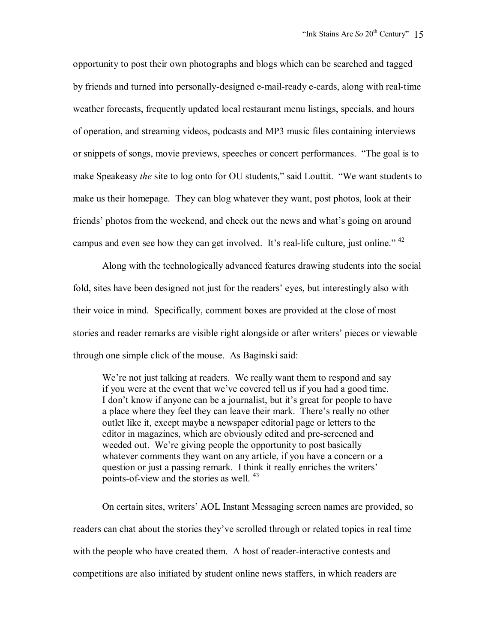opportunity to post their own photographs and blogs which can be searched and tagged by friends and turned into personally-designed e-mail-ready e-cards, along with real-time weather forecasts, frequently updated local restaurant menu listings, specials, and hours of operation, and streaming videos, podcasts and MP3 music files containing interviews or snippets of songs, movie previews, speeches or concert performances. "The goal is to make Speakeasy *the* site to log onto for OU students," said Louttit. "We want students to make us their homepage. They can blog whatever they want, post photos, look at their friends' photos from the weekend, and check out the news and what's going on around campus and even see how they can get involved. It's real-life culture, just online."<sup>42</sup>

 Along with the technologically advanced features drawing students into the social fold, sites have been designed not just for the readers' eyes, but interestingly also with their voice in mind. Specifically, comment boxes are provided at the close of most stories and reader remarks are visible right alongside or after writers' pieces or viewable through one simple click of the mouse. As Baginski said:

We're not just talking at readers. We really want them to respond and say if you were at the event that we've covered tell us if you had a good time. I don't know if anyone can be a journalist, but it's great for people to have a place where they feel they can leave their mark. There's really no other outlet like it, except maybe a newspaper editorial page or letters to the editor in magazines, which are obviously edited and pre-screened and weeded out. We're giving people the opportunity to post basically whatever comments they want on any article, if you have a concern or a question or just a passing remark. I think it really enriches the writers' points-of-view and the stories as well. 43

 On certain sites, writers' AOL Instant Messaging screen names are provided, so readers can chat about the stories they've scrolled through or related topics in real time with the people who have created them. A host of reader-interactive contests and competitions are also initiated by student online news staffers, in which readers are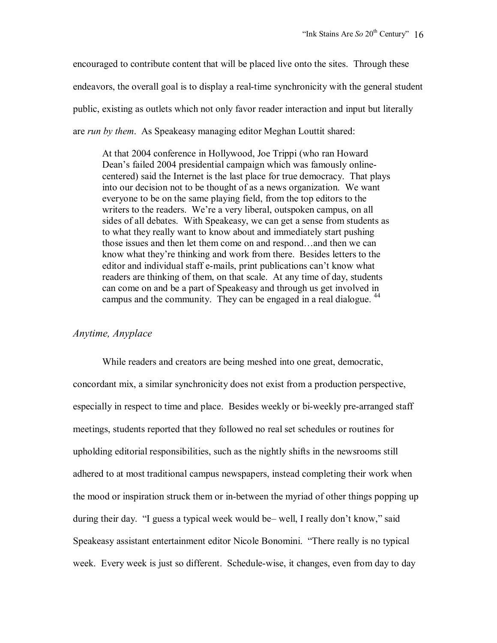encouraged to contribute content that will be placed live onto the sites. Through these endeavors, the overall goal is to display a real-time synchronicity with the general student public, existing as outlets which not only favor reader interaction and input but literally are *run by them*. As Speakeasy managing editor Meghan Louttit shared:

At that 2004 conference in Hollywood, Joe Trippi (who ran Howard Dean's failed 2004 presidential campaign which was famously onlinecentered) said the Internet is the last place for true democracy. That plays into our decision not to be thought of as a news organization. We want everyone to be on the same playing field, from the top editors to the writers to the readers. We're a very liberal, outspoken campus, on all sides of all debates. With Speakeasy, we can get a sense from students as to what they really want to know about and immediately start pushing those issues and then let them come on and respond…and then we can know what they're thinking and work from there. Besides letters to the editor and individual staff e-mails, print publications can't know what readers are thinking of them, on that scale. At any time of day, students can come on and be a part of Speakeasy and through us get involved in campus and the community. They can be engaged in a real dialogue.<sup>44</sup>

#### *Anytime, Anyplace*

 While readers and creators are being meshed into one great, democratic, concordant mix, a similar synchronicity does not exist from a production perspective, especially in respect to time and place. Besides weekly or bi-weekly pre-arranged staff meetings, students reported that they followed no real set schedules or routines for upholding editorial responsibilities, such as the nightly shifts in the newsrooms still adhered to at most traditional campus newspapers, instead completing their work when the mood or inspiration struck them or in-between the myriad of other things popping up during their day. "I guess a typical week would be– well, I really don't know," said Speakeasy assistant entertainment editor Nicole Bonomini. "There really is no typical week. Every week is just so different. Schedule-wise, it changes, even from day to day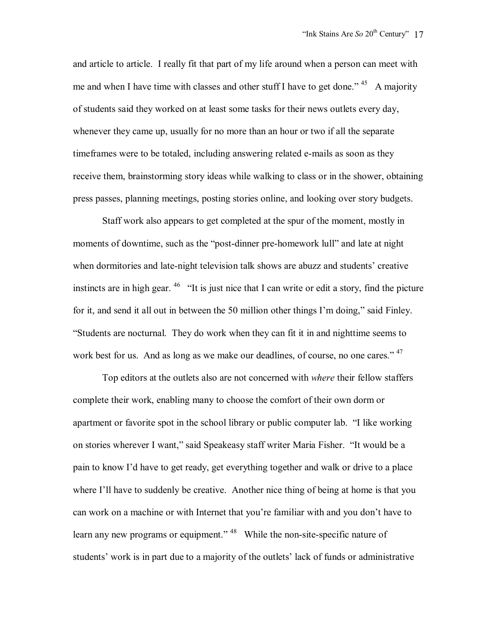and article to article. I really fit that part of my life around when a person can meet with me and when I have time with classes and other stuff I have to get done."  $45$  A majority of students said they worked on at least some tasks for their news outlets every day, whenever they came up, usually for no more than an hour or two if all the separate timeframes were to be totaled, including answering related e-mails as soon as they receive them, brainstorming story ideas while walking to class or in the shower, obtaining press passes, planning meetings, posting stories online, and looking over story budgets.

 Staff work also appears to get completed at the spur of the moment, mostly in moments of downtime, such as the "post-dinner pre-homework lull" and late at night when dormitories and late-night television talk shows are abuzz and students' creative instincts are in high gear. <sup>46</sup> "It is just nice that I can write or edit a story, find the picture for it, and send it all out in between the 50 million other things I'm doing," said Finley. "Students are nocturnal. They do work when they can fit it in and nighttime seems to work best for us. And as long as we make our deadlines, of course, no one cares." <sup>47</sup>

 Top editors at the outlets also are not concerned with *where* their fellow staffers complete their work, enabling many to choose the comfort of their own dorm or apartment or favorite spot in the school library or public computer lab. "I like working on stories wherever I want," said Speakeasy staff writer Maria Fisher. "It would be a pain to know I'd have to get ready, get everything together and walk or drive to a place where I'll have to suddenly be creative. Another nice thing of being at home is that you can work on a machine or with Internet that you're familiar with and you don't have to learn any new programs or equipment." <sup>48</sup> While the non-site-specific nature of students' work is in part due to a majority of the outlets' lack of funds or administrative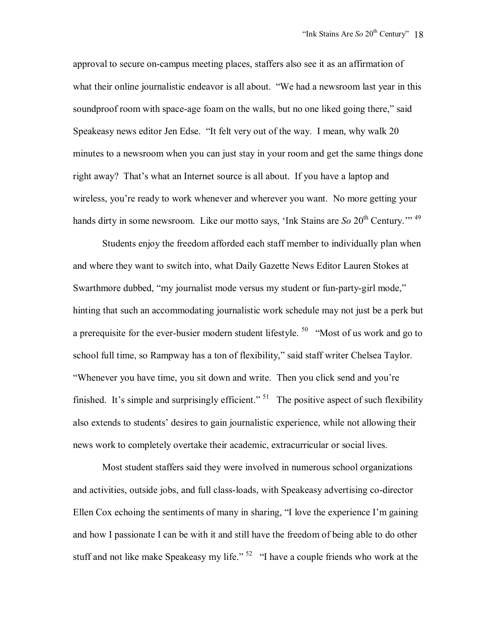approval to secure on-campus meeting places, staffers also see it as an affirmation of what their online journalistic endeavor is all about. "We had a newsroom last year in this soundproof room with space-age foam on the walls, but no one liked going there," said Speakeasy news editor Jen Edse. "It felt very out of the way. I mean, why walk 20 minutes to a newsroom when you can just stay in your room and get the same things done right away? That's what an Internet source is all about. If you have a laptop and wireless, you're ready to work whenever and wherever you want. No more getting your hands dirty in some newsroom. Like our motto says, 'Ink Stains are *So* 20<sup>th</sup> Century.'"<sup>49</sup>

 Students enjoy the freedom afforded each staff member to individually plan when and where they want to switch into, what Daily Gazette News Editor Lauren Stokes at Swarthmore dubbed, "my journalist mode versus my student or fun-party-girl mode," hinting that such an accommodating journalistic work schedule may not just be a perk but a prerequisite for the ever-busier modern student lifestyle.  $50$  "Most of us work and go to school full time, so Rampway has a ton of flexibility," said staff writer Chelsea Taylor. "Whenever you have time, you sit down and write. Then you click send and you're finished. It's simple and surprisingly efficient." <sup>51</sup> The positive aspect of such flexibility also extends to students' desires to gain journalistic experience, while not allowing their news work to completely overtake their academic, extracurricular or social lives.

 Most student staffers said they were involved in numerous school organizations and activities, outside jobs, and full class-loads, with Speakeasy advertising co-director Ellen Cox echoing the sentiments of many in sharing, "I love the experience I'm gaining and how I passionate I can be with it and still have the freedom of being able to do other stuff and not like make Speakeasy my life."<sup>52</sup> "I have a couple friends who work at the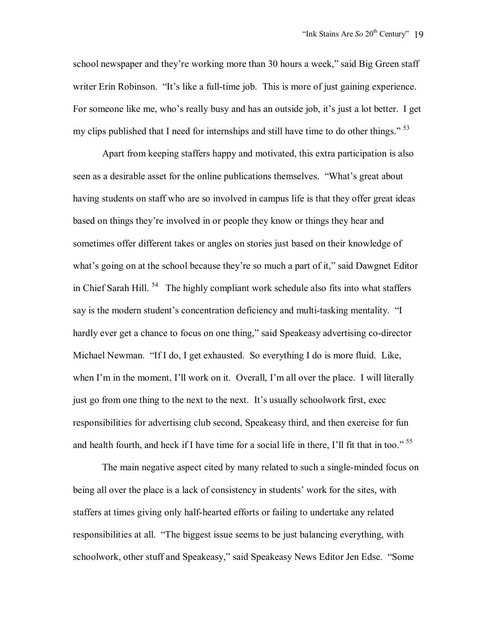school newspaper and they're working more than 30 hours a week," said Big Green staff writer Erin Robinson. "It's like a full-time job. This is more of just gaining experience. For someone like me, who's really busy and has an outside job, it's just a lot better. I get my clips published that I need for internships and still have time to do other things."  $53$ 

 Apart from keeping staffers happy and motivated, this extra participation is also seen as a desirable asset for the online publications themselves. "What's great about having students on staff who are so involved in campus life is that they offer great ideas based on things they're involved in or people they know or things they hear and sometimes offer different takes or angles on stories just based on their knowledge of what's going on at the school because they're so much a part of it," said Dawgnet Editor in Chief Sarah Hill.  $54$  The highly compliant work schedule also fits into what staffers say is the modern student's concentration deficiency and multi-tasking mentality. "I hardly ever get a chance to focus on one thing," said Speakeasy advertising co-director Michael Newman. "If I do, I get exhausted. So everything I do is more fluid. Like, when I'm in the moment, I'll work on it. Overall, I'm all over the place. I will literally just go from one thing to the next to the next. It's usually schoolwork first, exec responsibilities for advertising club second, Speakeasy third, and then exercise for fun and health fourth, and heck if I have time for a social life in there, I'll fit that in too."<sup>55</sup>

 The main negative aspect cited by many related to such a single-minded focus on being all over the place is a lack of consistency in students' work for the sites, with staffers at times giving only half-hearted efforts or failing to undertake any related responsibilities at all. "The biggest issue seems to be just balancing everything, with schoolwork, other stuff and Speakeasy," said Speakeasy News Editor Jen Edse. "Some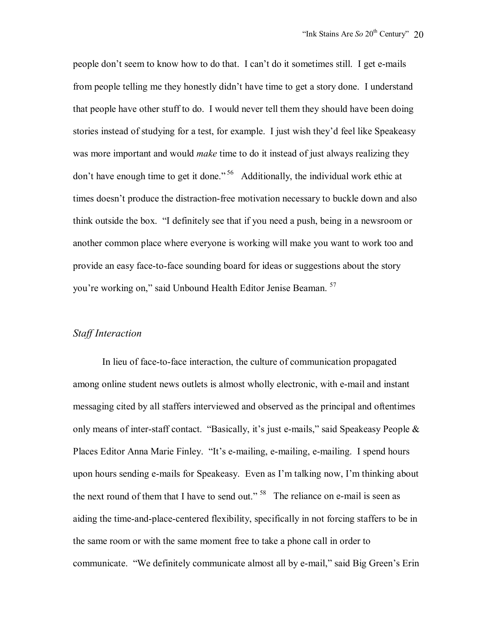people don't seem to know how to do that. I can't do it sometimes still. I get e-mails from people telling me they honestly didn't have time to get a story done. I understand that people have other stuff to do. I would never tell them they should have been doing stories instead of studying for a test, for example. I just wish they'd feel like Speakeasy was more important and would *make* time to do it instead of just always realizing they don't have enough time to get it done." 56 Additionally, the individual work ethic at times doesn't produce the distraction-free motivation necessary to buckle down and also think outside the box. "I definitely see that if you need a push, being in a newsroom or another common place where everyone is working will make you want to work too and provide an easy face-to-face sounding board for ideas or suggestions about the story you're working on," said Unbound Health Editor Jenise Beaman.<sup>57</sup>

### *Staff Interaction*

 In lieu of face-to-face interaction, the culture of communication propagated among online student news outlets is almost wholly electronic, with e-mail and instant messaging cited by all staffers interviewed and observed as the principal and oftentimes only means of inter-staff contact. "Basically, it's just e-mails," said Speakeasy People & Places Editor Anna Marie Finley. "It's e-mailing, e-mailing, e-mailing. I spend hours upon hours sending e-mails for Speakeasy. Even as I'm talking now, I'm thinking about the next round of them that I have to send out." <sup>58</sup> The reliance on e-mail is seen as aiding the time-and-place-centered flexibility, specifically in not forcing staffers to be in the same room or with the same moment free to take a phone call in order to communicate. "We definitely communicate almost all by e-mail," said Big Green's Erin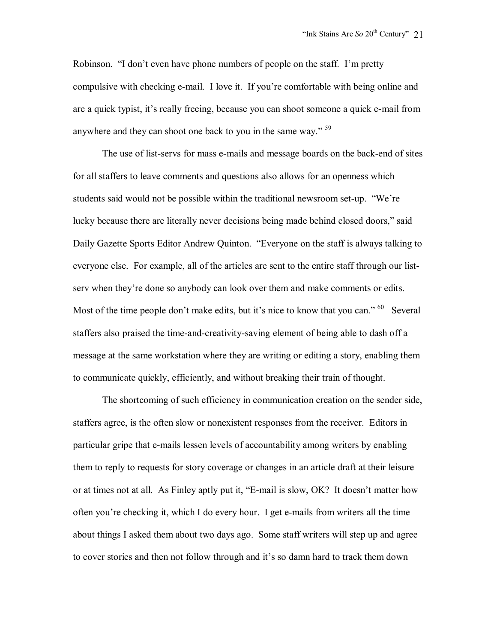Robinson. "I don't even have phone numbers of people on the staff. I'm pretty compulsive with checking e-mail. I love it. If you're comfortable with being online and are a quick typist, it's really freeing, because you can shoot someone a quick e-mail from anywhere and they can shoot one back to you in the same way." 59

 The use of list-servs for mass e-mails and message boards on the back-end of sites for all staffers to leave comments and questions also allows for an openness which students said would not be possible within the traditional newsroom set-up. "We're lucky because there are literally never decisions being made behind closed doors," said Daily Gazette Sports Editor Andrew Quinton. "Everyone on the staff is always talking to everyone else. For example, all of the articles are sent to the entire staff through our listserv when they're done so anybody can look over them and make comments or edits. Most of the time people don't make edits, but it's nice to know that you can."  $60$  Several staffers also praised the time-and-creativity-saving element of being able to dash off a message at the same workstation where they are writing or editing a story, enabling them to communicate quickly, efficiently, and without breaking their train of thought.

 The shortcoming of such efficiency in communication creation on the sender side, staffers agree, is the often slow or nonexistent responses from the receiver. Editors in particular gripe that e-mails lessen levels of accountability among writers by enabling them to reply to requests for story coverage or changes in an article draft at their leisure or at times not at all. As Finley aptly put it, "E-mail is slow, OK? It doesn't matter how often you're checking it, which I do every hour. I get e-mails from writers all the time about things I asked them about two days ago. Some staff writers will step up and agree to cover stories and then not follow through and it's so damn hard to track them down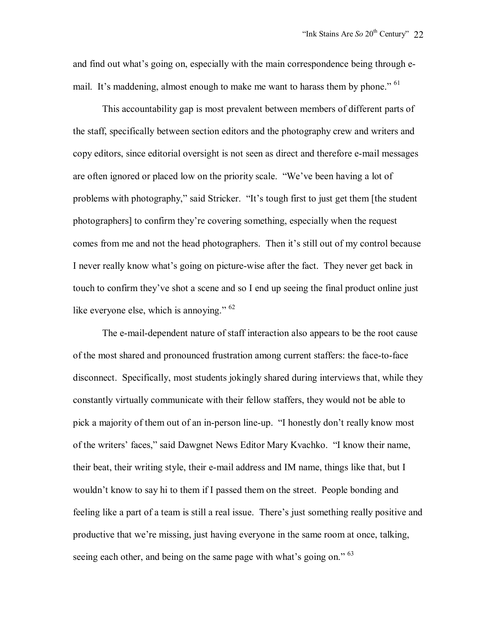and find out what's going on, especially with the main correspondence being through email. It's maddening, almost enough to make me want to harass them by phone." <sup>61</sup>

 This accountability gap is most prevalent between members of different parts of the staff, specifically between section editors and the photography crew and writers and copy editors, since editorial oversight is not seen as direct and therefore e-mail messages are often ignored or placed low on the priority scale. "We've been having a lot of problems with photography," said Stricker. "It's tough first to just get them [the student photographers] to confirm they're covering something, especially when the request comes from me and not the head photographers. Then it's still out of my control because I never really know what's going on picture-wise after the fact. They never get back in touch to confirm they've shot a scene and so I end up seeing the final product online just like everyone else, which is annoying." <sup>62</sup>

 The e-mail-dependent nature of staff interaction also appears to be the root cause of the most shared and pronounced frustration among current staffers: the face-to-face disconnect. Specifically, most students jokingly shared during interviews that, while they constantly virtually communicate with their fellow staffers, they would not be able to pick a majority of them out of an in-person line-up. "I honestly don't really know most of the writers' faces," said Dawgnet News Editor Mary Kvachko. "I know their name, their beat, their writing style, their e-mail address and IM name, things like that, but I wouldn't know to say hi to them if I passed them on the street. People bonding and feeling like a part of a team is still a real issue. There's just something really positive and productive that we're missing, just having everyone in the same room at once, talking, seeing each other, and being on the same page with what's going on." <sup>63</sup>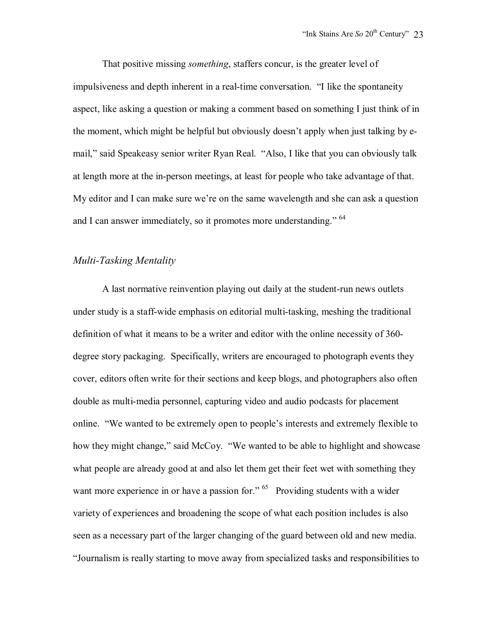That positive missing *something*, staffers concur, is the greater level of impulsiveness and depth inherent in a real-time conversation. "I like the spontaneity aspect, like asking a question or making a comment based on something I just think of in the moment, which might be helpful but obviously doesn't apply when just talking by email," said Speakeasy senior writer Ryan Real. "Also, I like that you can obviously talk at length more at the in-person meetings, at least for people who take advantage of that. My editor and I can make sure we're on the same wavelength and she can ask a question and I can answer immediately, so it promotes more understanding." <sup>64</sup>

# *Multi-Tasking Mentality*

 A last normative reinvention playing out daily at the student-run news outlets under study is a staff-wide emphasis on editorial multi-tasking, meshing the traditional definition of what it means to be a writer and editor with the online necessity of 360 degree story packaging. Specifically, writers are encouraged to photograph events they cover, editors often write for their sections and keep blogs, and photographers also often double as multi-media personnel, capturing video and audio podcasts for placement online. "We wanted to be extremely open to people's interests and extremely flexible to how they might change," said McCoy. "We wanted to be able to highlight and showcase what people are already good at and also let them get their feet wet with something they want more experience in or have a passion for." <sup>65</sup> Providing students with a wider variety of experiences and broadening the scope of what each position includes is also seen as a necessary part of the larger changing of the guard between old and new media. "Journalism is really starting to move away from specialized tasks and responsibilities to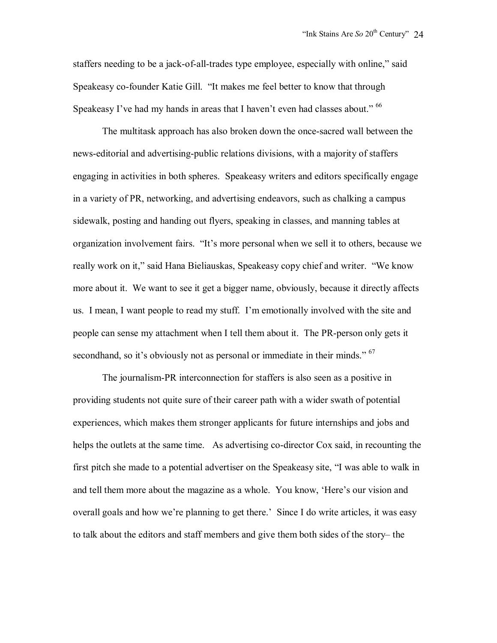staffers needing to be a jack-of-all-trades type employee, especially with online," said Speakeasy co-founder Katie Gill. "It makes me feel better to know that through Speakeasy I've had my hands in areas that I haven't even had classes about."  $^{66}$ 

 The multitask approach has also broken down the once-sacred wall between the news-editorial and advertising-public relations divisions, with a majority of staffers engaging in activities in both spheres. Speakeasy writers and editors specifically engage in a variety of PR, networking, and advertising endeavors, such as chalking a campus sidewalk, posting and handing out flyers, speaking in classes, and manning tables at organization involvement fairs. "It's more personal when we sell it to others, because we really work on it," said Hana Bieliauskas, Speakeasy copy chief and writer. "We know more about it. We want to see it get a bigger name, obviously, because it directly affects us. I mean, I want people to read my stuff. I'm emotionally involved with the site and people can sense my attachment when I tell them about it. The PR-person only gets it secondhand, so it's obviously not as personal or immediate in their minds."  $67$ 

 The journalism-PR interconnection for staffers is also seen as a positive in providing students not quite sure of their career path with a wider swath of potential experiences, which makes them stronger applicants for future internships and jobs and helps the outlets at the same time. As advertising co-director Cox said, in recounting the first pitch she made to a potential advertiser on the Speakeasy site, "I was able to walk in and tell them more about the magazine as a whole. You know, 'Here's our vision and overall goals and how we're planning to get there.' Since I do write articles, it was easy to talk about the editors and staff members and give them both sides of the story– the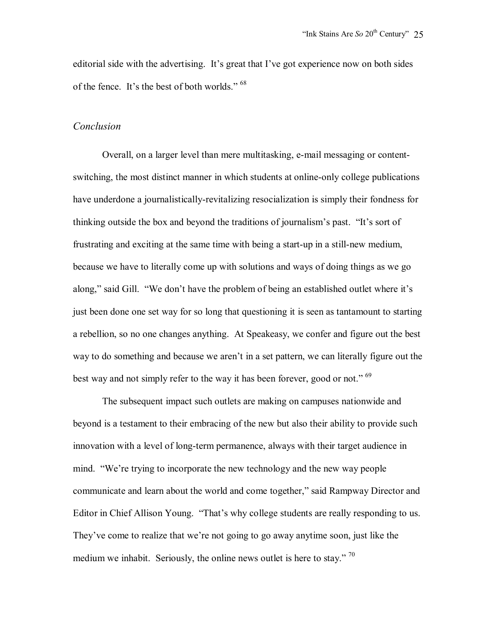editorial side with the advertising. It's great that I've got experience now on both sides of the fence. It's the best of both worlds." <sup>68</sup>

### *Conclusion*

 Overall, on a larger level than mere multitasking, e-mail messaging or contentswitching, the most distinct manner in which students at online-only college publications have underdone a journalistically-revitalizing resocialization is simply their fondness for thinking outside the box and beyond the traditions of journalism's past. "It's sort of frustrating and exciting at the same time with being a start-up in a still-new medium, because we have to literally come up with solutions and ways of doing things as we go along," said Gill. "We don't have the problem of being an established outlet where it's just been done one set way for so long that questioning it is seen as tantamount to starting a rebellion, so no one changes anything. At Speakeasy, we confer and figure out the best way to do something and because we aren't in a set pattern, we can literally figure out the best way and not simply refer to the way it has been forever, good or not."<sup>69</sup>

 The subsequent impact such outlets are making on campuses nationwide and beyond is a testament to their embracing of the new but also their ability to provide such innovation with a level of long-term permanence, always with their target audience in mind. "We're trying to incorporate the new technology and the new way people communicate and learn about the world and come together," said Rampway Director and Editor in Chief Allison Young. "That's why college students are really responding to us. They've come to realize that we're not going to go away anytime soon, just like the medium we inhabit. Seriously, the online news outlet is here to stay."<sup>70</sup>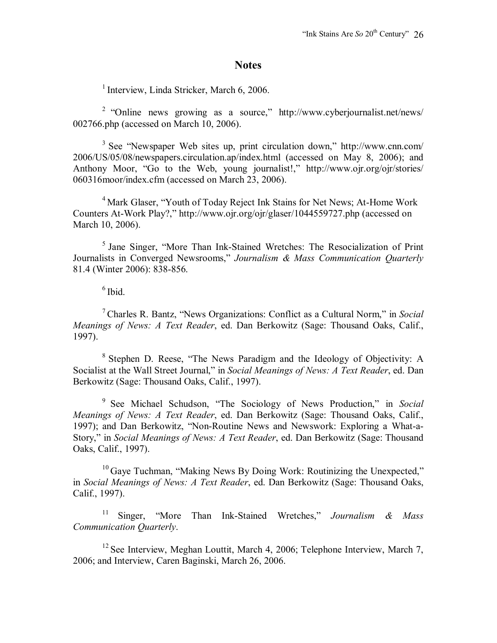## **Notes**

<sup>1</sup> Interview, Linda Stricker, March 6, 2006.

 2 "Online news growing as a source," http://www.cyberjournalist.net/news/ 002766.php (accessed on March 10, 2006).

 3 See "Newspaper Web sites up, print circulation down," http://www.cnn.com/ 2006/US/05/08/newspapers.circulation.ap/index.html (accessed on May 8, 2006); and Anthony Moor, "Go to the Web, young journalist!," http://www.ojr.org/ojr/stories/ 060316moor/index.cfm (accessed on March 23, 2006).

<sup>4</sup> Mark Glaser, "Youth of Today Reject Ink Stains for Net News; At-Home Work Counters At-Work Play?," http://www.ojr.org/ojr/glaser/1044559727.php (accessed on March 10, 2006).

 5 Jane Singer, "More Than Ink-Stained Wretches: The Resocialization of Print Journalists in Converged Newsrooms," *Journalism & Mass Communication Quarterly* 81.4 (Winter 2006): 838-856.

 $6$  Ibid.

 7 Charles R. Bantz, "News Organizations: Conflict as a Cultural Norm," in *Social Meanings of News: A Text Reader*, ed. Dan Berkowitz (Sage: Thousand Oaks, Calif., 1997).

 8 Stephen D. Reese, "The News Paradigm and the Ideology of Objectivity: A Socialist at the Wall Street Journal," in *Social Meanings of News: A Text Reader*, ed. Dan Berkowitz (Sage: Thousand Oaks, Calif., 1997).

 9 See Michael Schudson, "The Sociology of News Production," in *Social Meanings of News: A Text Reader*, ed. Dan Berkowitz (Sage: Thousand Oaks, Calif., 1997); and Dan Berkowitz, "Non-Routine News and Newswork: Exploring a What-a-Story," in *Social Meanings of News: A Text Reader*, ed. Dan Berkowitz (Sage: Thousand Oaks, Calif., 1997).

 $10$  Gaye Tuchman, "Making News By Doing Work: Routinizing the Unexpected," in *Social Meanings of News: A Text Reader*, ed. Dan Berkowitz (Sage: Thousand Oaks, Calif., 1997).

 11 Singer, "More Than Ink-Stained Wretches," *Journalism & Mass Communication Quarterly*.

 $12$  See Interview, Meghan Louttit, March 4, 2006; Telephone Interview, March 7, 2006; and Interview, Caren Baginski, March 26, 2006.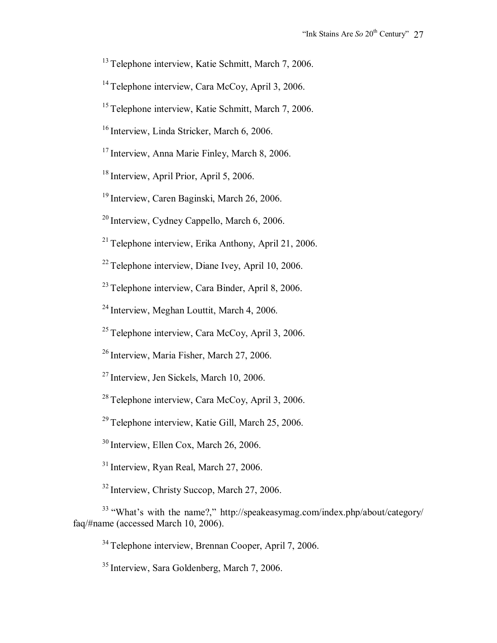<sup>13</sup> Telephone interview, Katie Schmitt, March 7, 2006.

<sup>14</sup> Telephone interview, Cara McCoy, April 3, 2006.

<sup>15</sup> Telephone interview, Katie Schmitt, March 7, 2006.

<sup>16</sup> Interview, Linda Stricker, March 6, 2006.

<sup>17</sup> Interview, Anna Marie Finley, March 8, 2006.

<sup>18</sup> Interview, April Prior, April 5, 2006.

19 Interview, Caren Baginski, March 26, 2006.

20 Interview, Cydney Cappello, March 6, 2006.

 $21$  Telephone interview, Erika Anthony, April 21, 2006.

22 Telephone interview, Diane Ivey, April 10, 2006.

23 Telephone interview, Cara Binder, April 8, 2006.

<sup>24</sup> Interview, Meghan Louttit, March 4, 2006.

 $25$  Telephone interview, Cara McCoy, April 3, 2006.

26 Interview, Maria Fisher, March 27, 2006.

27 Interview, Jen Sickels, March 10, 2006.

28 Telephone interview, Cara McCoy, April 3, 2006.

29 Telephone interview, Katie Gill, March 25, 2006.

30 Interview, Ellen Cox, March 26, 2006.

<sup>31</sup> Interview, Ryan Real, March 27, 2006.

<sup>32</sup> Interview, Christy Succop, March 27, 2006.

 33 "What's with the name?," http://speakeasymag.com/index.php/about/category/ faq/#name (accessed March 10, 2006).

34 Telephone interview, Brennan Cooper, April 7, 2006.

<sup>35</sup> Interview, Sara Goldenberg, March 7, 2006.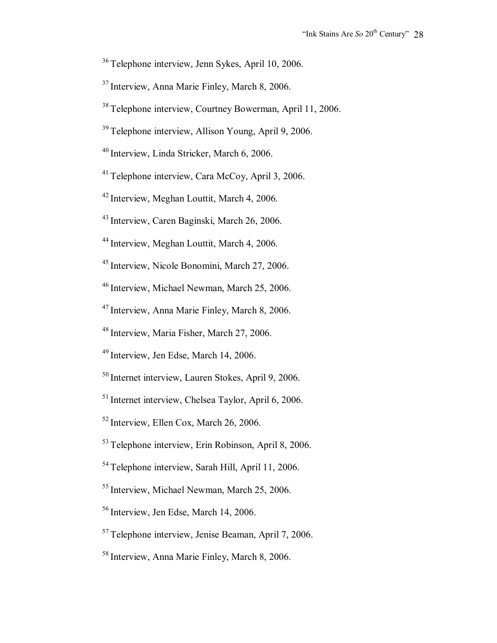36 Telephone interview, Jenn Sykes, April 10, 2006.

37 Interview, Anna Marie Finley, March 8, 2006.

38 Telephone interview, Courtney Bowerman, April 11, 2006.

39 Telephone interview, Allison Young, April 9, 2006.

40 Interview, Linda Stricker, March 6, 2006.

41 Telephone interview, Cara McCoy, April 3, 2006.

42 Interview, Meghan Louttit, March 4, 2006.

43 Interview, Caren Baginski, March 26, 2006.

44 Interview, Meghan Louttit, March 4, 2006.

45 Interview, Nicole Bonomini, March 27, 2006.

46 Interview, Michael Newman, March 25, 2006.

47 Interview, Anna Marie Finley, March 8, 2006.

48 Interview, Maria Fisher, March 27, 2006.

49 Interview, Jen Edse, March 14, 2006.

50 Internet interview, Lauren Stokes, April 9, 2006.

51 Internet interview, Chelsea Taylor, April 6, 2006.

52 Interview, Ellen Cox, March 26, 2006.

53 Telephone interview, Erin Robinson, April 8, 2006.

54 Telephone interview, Sarah Hill, April 11, 2006.

55 Interview, Michael Newman, March 25, 2006.

56 Interview, Jen Edse, March 14, 2006.

57 Telephone interview, Jenise Beaman, April 7, 2006.

58 Interview, Anna Marie Finley, March 8, 2006.